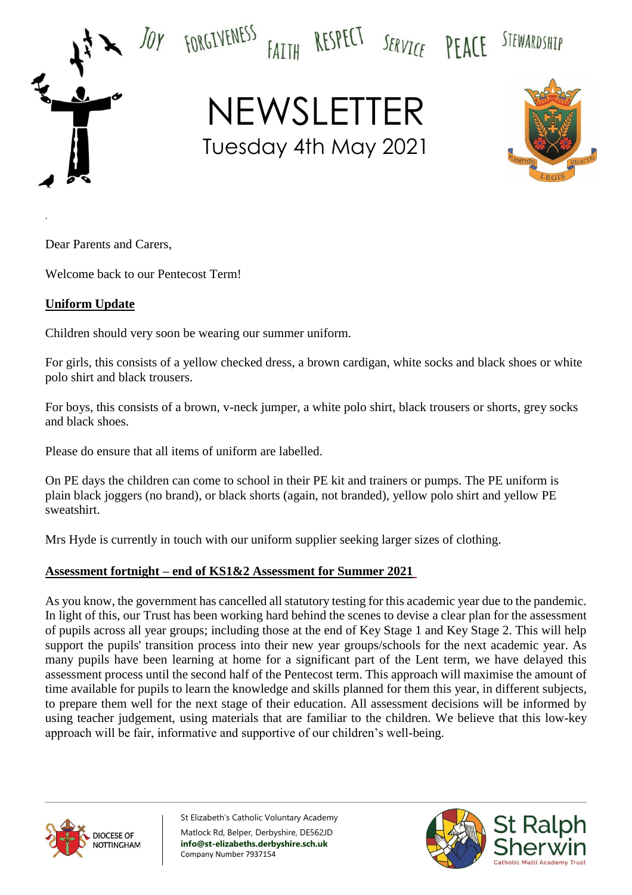

.

NEWSLETTER Tuesday 4th May 2021

FAITH RESPECT SERVICE PEACE



STEWARDSHIP

Dear Parents and Carers,

Welcome back to our Pentecost Term!

## **Uniform Update**

Children should very soon be wearing our summer uniform.

For girls, this consists of a yellow checked dress, a brown cardigan, white socks and black shoes or white polo shirt and black trousers.

For boys, this consists of a brown, v-neck jumper, a white polo shirt, black trousers or shorts, grey socks and black shoes.

Please do ensure that all items of uniform are labelled.

On PE days the children can come to school in their PE kit and trainers or pumps. The PE uniform is plain black joggers (no brand), or black shorts (again, not branded), yellow polo shirt and yellow PE sweatshirt.

Mrs Hyde is currently in touch with our uniform supplier seeking larger sizes of clothing.

## **Assessment fortnight – end of KS1&2 Assessment for Summer 2021**

As you know, the government has cancelled all statutory testing for this academic year due to the pandemic. In light of this, our Trust has been working hard behind the scenes to devise a clear plan for the assessment of pupils across all year groups; including those at the end of Key Stage 1 and Key Stage 2. This will help support the pupils' transition process into their new year groups/schools for the next academic year. As many pupils have been learning at home for a significant part of the Lent term, we have delayed this assessment process until the second half of the Pentecost term. This approach will maximise the amount of time available for pupils to learn the knowledge and skills planned for them this year, in different subjects, to prepare them well for the next stage of their education. All assessment decisions will be informed by using teacher judgement, using materials that are familiar to the children. We believe that this low-key approach will be fair, informative and supportive of our children's well-being.



St Elizabeth's Catholic Voluntary Academy Matlock Rd, Belper, Derbyshire, DE562JD **info@st-elizabeths.derbyshire.sch.uk** Company Number 7937154

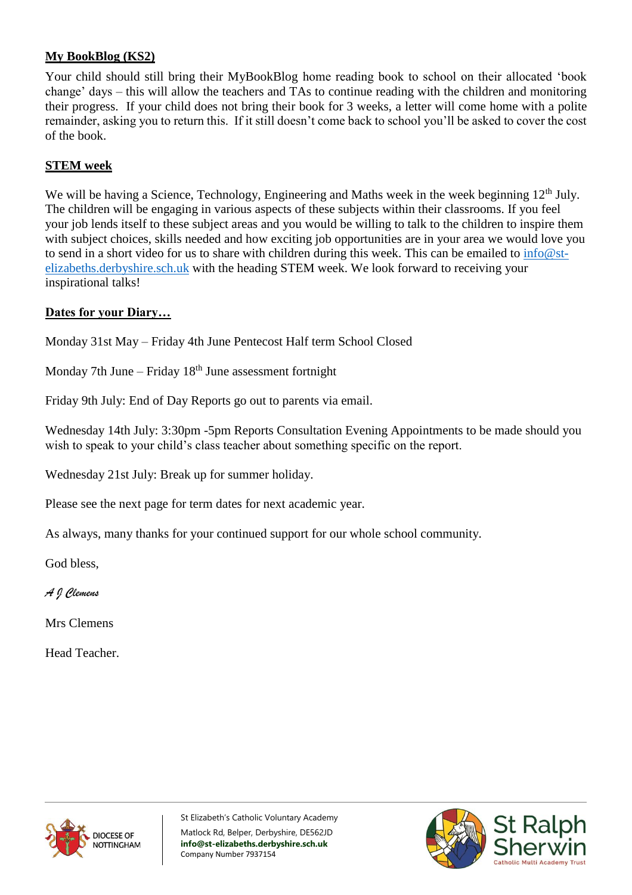# **My BookBlog (KS2)**

Your child should still bring their MyBookBlog home reading book to school on their allocated 'book change' days – this will allow the teachers and TAs to continue reading with the children and monitoring their progress. If your child does not bring their book for 3 weeks, a letter will come home with a polite remainder, asking you to return this. If it still doesn't come back to school you'll be asked to cover the cost of the book.

# **STEM week**

We will be having a Science, Technology, Engineering and Maths week in the week beginning 12<sup>th</sup> July. The children will be engaging in various aspects of these subjects within their classrooms. If you feel your job lends itself to these subject areas and you would be willing to talk to the children to inspire them with subject choices, skills needed and how exciting job opportunities are in your area we would love you to send in a short video for us to share with children during this week. This can be emailed to [info@st](mailto:info@st-elizabeths.derbyshire.sch.uk)[elizabeths.derbyshire.sch.uk](mailto:info@st-elizabeths.derbyshire.sch.uk) with the heading STEM week. We look forward to receiving your inspirational talks!

## **Dates for your Diary…**

Monday 31st May – Friday 4th June Pentecost Half term School Closed

Monday 7th June – Friday  $18<sup>th</sup>$  June assessment fortnight

Friday 9th July: End of Day Reports go out to parents via email.

Wednesday 14th July: 3:30pm -5pm Reports Consultation Evening Appointments to be made should you wish to speak to your child's class teacher about something specific on the report.

Wednesday 21st July: Break up for summer holiday.

Please see the next page for term dates for next academic year.

As always, many thanks for your continued support for our whole school community.

God bless,

*A J Clemens*

Mrs Clemens

Head Teacher.



St Elizabeth's Catholic Voluntary Academy Matlock Rd, Belper, Derbyshire, DE562JD **info@st-elizabeths.derbyshire.sch.uk** Company Number 7937154